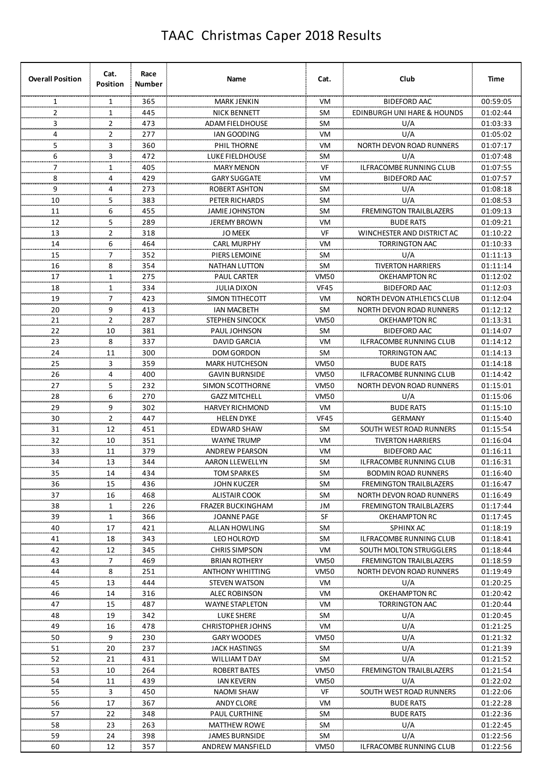| <b>Overall Position</b> | Cat.<br><b>Position</b> | Race<br>Number   | Name                                   | Cat.                 | Club                            | Time                 |
|-------------------------|-------------------------|------------------|----------------------------------------|----------------------|---------------------------------|----------------------|
| 1                       | 1                       | 365              | <b>MARK JENKIN</b>                     | VM                   | <b>BIDEFORD AAC</b>             | 00:59:05             |
| 2                       | $\mathbf{1}$            | 445              | <b>NICK BENNETT</b>                    | <b>SM</b>            | EDINBURGH UNI HARE & HOUNDS     | 01:02:44             |
| 3                       | 2                       | 473              | <b>ADAM FIELDHOUSE</b>                 | SM                   | U/A                             | 01:03:33             |
| 4                       | 2                       | 277              | <b>IAN GOODING</b>                     | VM                   | U/A                             | 01:05:02             |
| 5                       | 3                       | 360              | PHIL THORNE                            | VM                   | <b>NORTH DEVON ROAD RUNNERS</b> | 01:07:17             |
| 6                       | 3                       | 472              | <b>LUKE FIELDHOUSE</b>                 | SM                   | U/A                             | 01:07:48             |
| 7                       | 1                       | 405              | <b>MARY MENON</b>                      | VF                   | ILFRACOMBE RUNNING CLUB         | 01:07:55             |
| 8                       | 4                       | 429              | <b>GARY SUGGATE</b>                    | VM                   | <b>BIDEFORD AAC</b>             | 01:07:57             |
| 9                       | 4                       | 273              | <b>ROBERT ASHTON</b>                   | SM                   | U/A                             | 01:08:18             |
| 10                      | 5                       | 383              | PETER RICHARDS                         | SM                   | U/A                             | 01:08:53             |
| 11                      | 6                       | 455              | <b>JAMIE JOHNSTON</b>                  | SM                   | <b>FREMINGTON TRAILBLAZERS</b>  | 01:09:13             |
| 12                      | 5                       | 289              | <b>JEREMY BROWN</b>                    | VM                   | <b>BUDE RATS</b>                | 01:09:21             |
| 13                      | 2                       | 318              | <b>JO MEEK</b>                         | VF                   | WINCHESTER AND DISTRICT AC      | 01:10:22             |
| 14                      | 6                       | 464              | <b>CARL MURPHY</b>                     | VM                   | <b>TORRINGTON AAC</b>           | 01:10:33             |
| 15                      | 7                       | 352              | PIERS LEMOINE                          | SM                   | U/A                             | 01:11:13             |
| 16                      | 8                       | 354              | <b>NATHAN LUTTON</b>                   | <b>SM</b>            | <b>TIVERTON HARRIERS</b>        | 01:11:14             |
| 17                      | 1                       | 275              | <b>PAUL CARTER</b>                     | <b>VM50</b>          | OKEHAMPTON RC                   | 01:12:02             |
| 18                      | 1                       | 334              | <b>JULIA DIXON</b>                     | <b>VF45</b>          | <b>BIDEFORD AAC</b>             | 01:12:03             |
| 19                      | 7                       | 423              | SIMON TITHECOTT                        | VM                   | NORTH DEVON ATHLETICS CLUB      | 01:12:04             |
| 20                      | 9                       | 413              | <b>IAN MACBETH</b>                     | <b>SM</b>            | NORTH DEVON ROAD RUNNERS        | 01:12:12             |
| 21<br>                  | $\overline{2}$          | 287              | STEPHEN SINCOCK                        | <b>VM50</b>          | OKEHAMPTON RC                   | 01:13:31             |
| 22<br>.                 | 10<br>                  | 381              | PAUL JOHNSON                           | <b>SM</b>            | BIDEFORD AAC                    | 01:14:07             |
| 23<br>                  | 8<br>                   | 337              | DAVID GARCIA                           | VM<br>               | ILFRACOMBE RUNNING CLUB         | 01:14:12             |
| 24<br>                  | 11                      | 300              | DOM GORDON                             | <b>SM</b>            | TORRINGTON AAC                  | 01:14:13             |
| 25<br>                  | 3                       | 359              | <b>MARK HUTCHESON</b>                  | VM50                 | <b>BUDE RATS</b>                | 01:14:18             |
| 26<br>                  | 4                       | 400<br>          | <b>GAVIN BURNSIDE</b>                  | VM50                 | ILFRACOMBE RUNNING CLUB         | 01:14:42             |
| 27<br>                  | 5                       | 232<br>.         | SIMON SCOTTHORNE                       | VM50                 | NORTH DEVON ROAD RUNNERS        | 01:15:01             |
| 28<br>                  | 6                       | 270              | <b>GAZZ MITCHELL</b>                   | VM50                 | U/A                             | 01:15:06             |
| 29<br>                  | 9                       | 302              | HARVEY RICHMOND                        | VM                   | <b>BUDE RATS</b>                | 01:15:10             |
| 30                      | 2<br>                   | 447              | HELEN DYKE                             | VF45                 | GERMANY                         | 01:15:40             |
| 31<br>مستعد             | 12<br>,,,,,,,           | 451<br>,,,,,,,,, | EDWARD SHAW                            | <b>SM</b><br>an an a | SOUTH WEST ROAD RUNNERS         | 01:15:54             |
| 32<br>محمده             | 10<br>an an             | 351<br>          | WAYNE TRUMP                            | VM<br>,,,,,,,,       | TIVERTON HARRIERS               | 01:16:04             |
| 33                      | 11<br>.                 | 379<br>aanaa     | ANDREW PEARSON                         | VM                   | <b>BIDEFORD AAC</b>             | 01:16:11             |
| 34                      | 13                      | 344              | AARON LLEWELLYN                        | SM                   | ILFRACOMBE RUNNING CLUB         | 01:16:31             |
| 35<br>                  | $\frac{14}{1}$          | 434              | TOM SPARKES                            | SM.                  | <b>BODMIN ROAD RUNNERS</b>      | 01:16:40             |
| 36                      | <b>15</b>               | 436              | JOHN KUCZER                            | <b>SM</b>            | FREMINGTON TRAILBLAZERS         | 01:16:47             |
| 37                      | $\frac{16}{2}$          | 468              | <b>ALISTAIR COOK</b>                   | <b>SM</b>            | NORTH DEVON ROAD RUNNERS        | 01:16:49             |
| 38                      | $\overline{1}$          | 226              | <b>FRAZER BUCKINGHAM</b>               | JM                   | FREMINGTON TRAILBLAZERS         | 01:17:44             |
| 39                      | $\frac{1}{\cdot}$       | 366              | JOANNE PAGE                            | SE                   | OKEHAMPTON RC                   | 01:17:45             |
| 40                      | 17                      | 421              | ALLAN HOWLING                          | SM                   | SPHINX AC                       | 01:18:19             |
| 41                      | 18                      | 343              | LEO HOLROYD                            | SM                   | ILFRACOMBE RUNNING CLUB         | 01:18:41             |
| 42                      | 12                      | 345              | <b>CHRIS SIMPSON</b>                   | VM                   | SOUTH MOLTON STRUGGLERS         | 01:18:44             |
| 43                      | 7                       | 469              | <b>BRIAN ROTHERY</b>                   | VM50                 | <b>FREMINGTON TRAILBLAZERS</b>  | 01:18:59             |
| 44                      | 8                       | 251              | ANTHONY WHITTING                       | VM50                 | NORTH DEVON ROAD RUNNERS        | 01:19:49             |
| 45                      | 13                      | 444              | <b>STEVEN WATSON</b>                   | VM                   | U/A                             | 01:20:25             |
| 46                      | 14                      | 316              | ALEC ROBINSON                          | VM                   | OKEHAMPTON RC                   | 01:20:42             |
| 47                      | 15<br>19                | 487<br>342       | WAYNE STAPLETON                        | VM<br>SM             | TORRINGTON AAC<br>U/A           | 01:20:44<br>01:20:45 |
| 48<br>49                |                         |                  | LUKE SHERE<br><b>CHRISTOPHER JOHNS</b> | VM                   |                                 |                      |
| 50                      | 16<br>9                 | 478<br>230       |                                        | VM50                 | U/A<br>U/A                      | 01:21:25<br>01:21:32 |
|                         |                         |                  | GARY WOODES                            |                      |                                 |                      |
| 51<br>52                | 20<br>21                | 237<br>431       | JACK HASTINGS<br>WILLIAM T DAY         | SM<br>SM             | U/A<br>U/A                      | 01:21:39<br>01:21:52 |
| 53                      | 10                      | 264              | ROBERT BATES                           | VM50                 | <b>FREMINGTON TRAILBLAZERS</b>  | 01:21:54             |
| 54                      | 11                      | 439              | IAN KEVERN                             | VM50                 | U/A                             | 01:22:02             |
| 55                      | 3                       | 450              | NAOMI SHAW                             | VF                   | SOUTH WEST ROAD RUNNERS         | 01:22:06             |
| 56                      | 17                      | 367              | ANDY CLORE                             | VM                   | <b>BUDE RATS</b>                | 01:22:28             |
| 57                      | 22                      | 348              | PAUL CURTHINE                          | SM                   | <b>BUDE RATS</b>                | 01:22:36             |
| 58                      | 23                      | 263              | <b>MATTHEW ROWE</b>                    | SM                   | U/A                             | 01:22:45             |
| 59                      | 24                      | 398              | JAMES BURNSIDE                         | SM                   | U/A                             | 01:22:56             |
| 60                      | 12                      | 357              | ANDREW MANSFIELD                       | VM50                 | ILFRACOMBE RUNNING CLUB         | 01:22:56             |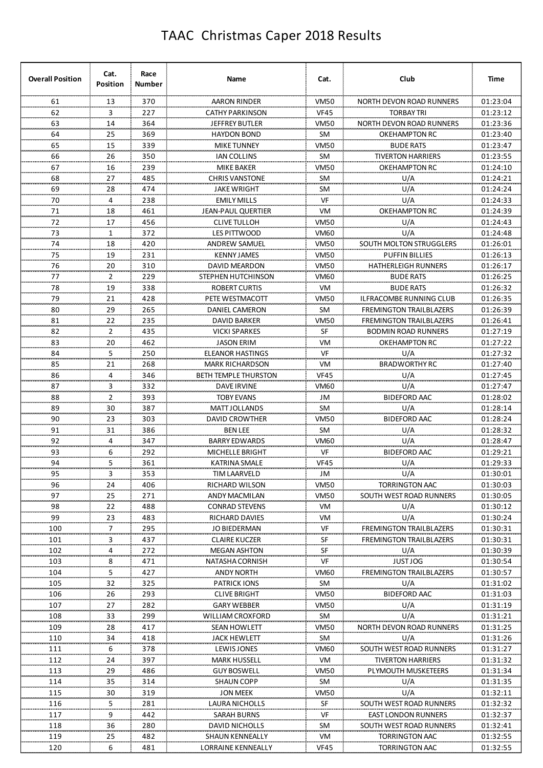| <b>Overall Position</b> | Cat.<br><b>Position</b> | Race<br>Number | Name                        | Cat.        | Club                            | <b>Time</b> |
|-------------------------|-------------------------|----------------|-----------------------------|-------------|---------------------------------|-------------|
| 61                      | 13                      | 370            | <b>AARON RINDER</b>         | <b>VM50</b> | <b>NORTH DEVON ROAD RUNNERS</b> | 01:23:04    |
| 62                      | 3                       | 227            | <b>CATHY PARKINSON</b>      | <b>VF45</b> | <b>TORBAY TRI</b>               | 01:23:12    |
| 63                      | 14                      | 364            | <b>JEFFREY BUTLER</b>       | <b>VM50</b> | <b>NORTH DEVON ROAD RUNNERS</b> | 01:23:36    |
| 64                      | 25                      | 369            | <b>HAYDON BOND</b>          | <b>SM</b>   | <b>OKEHAMPTON RC</b>            | 01:23:40    |
| 65                      | 15                      | 339            | <b>MIKE TUNNEY</b>          | <b>VM50</b> | <b>BUDE RATS</b>                | 01:23:47    |
| 66                      | 26                      | 350            | <b>IAN COLLINS</b>          | <b>SM</b>   | <b>TIVERTON HARRIERS</b>        | 01:23:55    |
| 67                      | 16                      | 239            | <b>MIKE BAKER</b>           | <b>VM50</b> | <b>OKEHAMPTON RC</b>            | 01:24:10    |
| 68                      | 27                      | 485            | <b>CHRIS VANSTONE</b>       | <b>SM</b>   | U/A                             | 01:24:21    |
| 69                      | 28                      | 474            | <b>JAKE WRIGHT</b>          | SM          | U/A                             | 01:24:24    |
| 70                      | 4                       | 238            | <b>EMILY MILLS</b>          | VF          | U/A                             | 01:24:33    |
| 71                      | 18                      | 461            | <b>JEAN-PAUL QUERTIER</b>   | VM          | <b>OKEHAMPTON RC</b>            | 01:24:39    |
| 72                      | 17                      | 456            | <b>CLIVE TULLOH</b>         | <b>VM50</b> | U/A                             | 01:24:43    |
| 73                      | $\mathbf{1}$            | 372            | <b>LES PITTWOOD</b>         | <b>VM60</b> | U/A                             | 01:24:48    |
| 74                      | 18                      | 420            | <b>ANDREW SAMUEL</b>        | <b>VM50</b> | SOUTH MOLTON STRUGGLERS         | 01:26:01    |
| 75                      | 19                      | 231            | <b>KENNY JAMES</b>          | <b>VM50</b> | <b>PUFFIN BILLIES</b>           | 01:26:13    |
| 76                      | 20                      | 310            | <b>DAVID MEARDON</b>        | <b>VM50</b> | <b>HATHERLEIGH RUNNERS</b>      | 01:26:17    |
| 77                      | $\overline{2}$          | 229            | STEPHEN HUTCHINSON          | <b>VM60</b> | <b>BUDE RATS</b>                | 01:26:25    |
|                         |                         |                |                             |             |                                 |             |
| 78                      | 19                      | 338            | <b>ROBERT CURTIS</b>        | VM          | <b>BUDE RATS</b>                | 01:26:32    |
| 79                      | 21                      | 428            | PETE WESTMACOTT             | <b>VM50</b> | <b>ILFRACOMBE RUNNING CLUB</b>  | 01:26:35    |
| 80                      | 29                      | 265            | <b>DANIEL CAMERON</b>       | <b>SM</b>   | <b>FREMINGTON TRAILBLAZERS</b>  | 01:26:39    |
| 81                      | 22                      | 235            | <b>DAVID BARKER</b>         | <b>VM50</b> | <b>FREMINGTON TRAILBLAZERS</b>  | 01:26:41    |
| 82                      | $\overline{2}$          | 435            | <b>VICKI SPARKES</b>        | SF          | <b>BODMIN ROAD RUNNERS</b>      | 01:27:19    |
| 83                      | 20                      | 462            | <b>JASON ERIM</b>           | VM          | <b>OKEHAMPTON RC</b>            | 01:27:22    |
| 84                      | 5                       | 250            | <b>ELEANOR HASTINGS</b>     | VF          | U/A                             | 01:27:32    |
| 85                      | 21                      | 268            | <b>MARK RICHARDSON</b>      | VM          | <b>BRADWORTHY RC</b>            | 01:27:40    |
| 86                      | 4                       | 346            | <b>BETH TEMPLE THURSTON</b> | <b>VF45</b> | U/A                             | 01:27:45    |
| 87                      | 3                       | 332            | <b>DAVE IRVINE</b>          | <b>VM60</b> | U/A                             | 01:27:47    |
| 88                      | 2                       | 393            | <b>TOBY EVANS</b>           | JM          | <b>BIDEFORD AAC</b>             | 01:28:02    |
| 89                      | 30                      | 387            | MATT JOLLANDS               | <b>SM</b>   | U/A                             | 01:28:14    |
| 90<br>mmm               | 23                      | 303            | <b>DAVID CROWTHER</b>       | <b>VM50</b> | <b>BIDEFORD AAC</b>             | 01:28:24    |
| 91                      | 31                      | 386            | <b>BEN LEE</b>              | <b>SM</b>   | U/A                             | 01:28:32    |
| 92                      | 4                       | 347            | <b>BARRY EDWARDS</b>        | <b>VM60</b> | U/A                             | 01:28:47    |
| 93                      | 6                       | 292            | <b>MICHELLE BRIGHT</b>      | VF          | <b>BIDEFORD AAC</b>             | 01:29:21    |
| 94                      | 5                       | 361            | KATRINA SMALE               | <b>VF45</b> | U/A                             | 01:29:33    |
| 95                      | 3                       | 353            | <b>TIM LAARVELD</b>         | JM          | U/A                             | 01:30:01    |
| 96                      | 24                      | 406            | RICHARD WILSON              | <b>VM50</b> | <b>TORRINGTON AAC</b>           | 01:30:03    |
| 97                      | 25                      | 271            | ANDY MACMILAN               | <b>VM50</b> | SOUTH WEST ROAD RUNNERS         | 01:30:05    |
| 98                      | 22                      | 488            | <b>CONRAD STEVENS</b>       | VM          | U/A                             | 01:30:12    |
| 99                      | 23                      | 483            | RICHARD DAVIES              | VM          | U/A                             | 01:30:24    |
| 100                     | 7                       | 295            | <b>JO BIEDERMAN</b>         | VF          | <b>FREMINGTON TRAILBLAZERS</b>  | 01:30:31    |
| 101                     | 3                       | 437            | <b>CLAIRE KUCZER</b>        | ${\sf SF}$  | <b>FREMINGTON TRAILBLAZERS</b>  | 01:30:31    |
| 102                     | 4                       | 272            | <b>MEGAN ASHTON</b>         | SF          | U/A                             | 01:30:39    |
| 103                     | 8                       | 471            | NATASHA CORNISH             | VF          | <b>JUST JOG</b>                 | 01:30:54    |
| 104                     | 5                       | 427            | <b>ANDY NORTH</b>           | <b>VM60</b> | <b>FREMINGTON TRAILBLAZERS</b>  | 01:30:57    |
| 105                     | 32                      | 325            | <b>PATRICK IONS</b>         | SM          | U/A                             | 01:31:02    |
| 106                     | 26                      | 293            | <b>CLIVE BRIGHT</b>         | <b>VM50</b> | <b>BIDEFORD AAC</b>             | 01:31:03    |
| 107                     | 27                      | 282            | <b>GARY WEBBER</b>          | <b>VM50</b> | U/A                             | 01:31:19    |
| 108                     | 33                      | 299            | WILLIAM CROXFORD            | SM          | U/A                             | 01:31:21    |
| 109                     | 28                      | 417            | SEAN HOWLETT                | <b>VM50</b> | <b>NORTH DEVON ROAD RUNNERS</b> | 01:31:25    |
| 110                     | 34                      | 418            | JACK HEWLETT                | <b>SM</b>   | U/A                             | 01:31:26    |
| 111                     | 6                       | 378            | LEWIS JONES                 | <b>VM60</b> | SOUTH WEST ROAD RUNNERS         | 01:31:27    |
| 112                     | 24                      | 397            | MARK HUSSELL                | VM          | <b>TIVERTON HARRIERS</b>        | 01:31:32    |
| 113                     | 29                      | 486            | <b>GUY BOSWELL</b>          | <b>VM50</b> | PLYMOUTH MUSKETEERS             | 01:31:34    |
| 114                     | 35                      | 314            | <b>SHAUN COPP</b>           | <b>SM</b>   | U/A                             | 01:31:35    |
| 115                     | 30                      | 319            | <b>JON MEEK</b>             | <b>VM50</b> | U/A                             | 01:32:11    |
| 116                     | 5                       | 281            | LAURA NICHOLLS              | SF          | SOUTH WEST ROAD RUNNERS         | 01:32:32    |
| 117                     | 9                       | 442            | SARAH BURNS                 | VF          | <b>EAST LONDON RUNNERS</b>      | 01:32:37    |
| 118                     | 36                      | 280            | DAVID NICHOLLS              | <b>SM</b>   | SOUTH WEST ROAD RUNNERS         | 01:32:41    |
| 119                     | 25                      | 482            | <b>SHAUN KENNEALLY</b>      | VM          | TORRINGTON AAC                  | 01:32:55    |
| 120                     | 6                       | 481            | LORRAINE KENNEALLY          | <b>VF45</b> | <b>TORRINGTON AAC</b>           | 01:32:55    |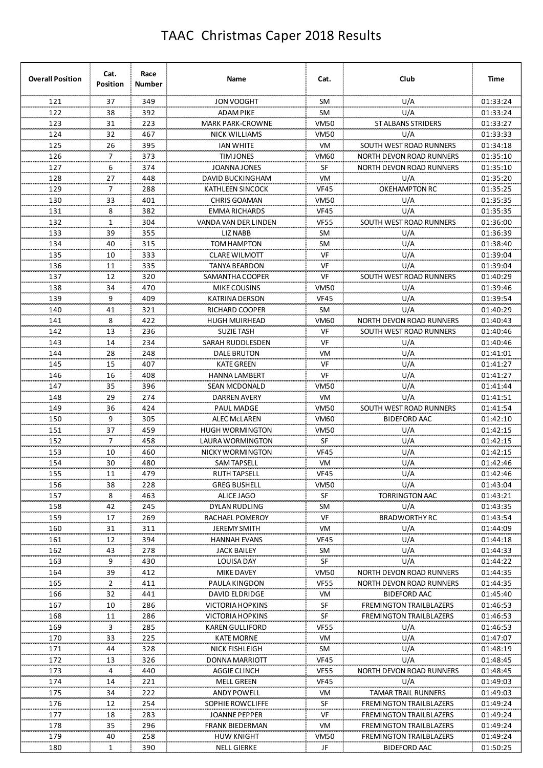| <b>Overall Position</b> | Cat.<br><b>Position</b> | Race<br>Number | Name                             | Cat.             | Club                            | Time     |
|-------------------------|-------------------------|----------------|----------------------------------|------------------|---------------------------------|----------|
| 121                     | 37                      | 349            | JON VOOGHT                       | <b>SM</b>        | U/A                             | 01:33:24 |
| 122                     | 38                      | 392            | ADAM PIKE                        | SM               | U/A                             | 01:33:24 |
| 123                     | 31                      | 223            | <b>MARK PARK-CROWNE</b>          | <b>VM50</b>      | <b>ST ALBANS STRIDERS</b>       | 01:33:27 |
| 124                     | 32                      | 467            | <b>NICK WILLIAMS</b>             | <b>VM50</b>      | U/A                             | 01:33:33 |
| 125                     | 26                      | 395            | <b>IAN WHITE</b>                 | VM               | SOUTH WEST ROAD RUNNERS         | 01:34:18 |
| 126                     | 7                       | 373            | <b>TIMJONES</b>                  | <b>VM60</b>      | <b>NORTH DEVON ROAD RUNNERS</b> | 01:35:10 |
| 127                     | 6                       | 374            | JOANNA JONES                     | SF               | NORTH DEVON ROAD RUNNERS        | 01:35:10 |
| 128                     | 27                      | 448            | DAVID BUCKINGHAM                 | VM               | U/A                             | 01:35:20 |
| 129                     | 7                       | 288            | KATHLEEN SINCOCK                 | <b>VF45</b>      | <b>OKEHAMPTON RC</b>            | 01:35:25 |
| 130                     | 33                      | 401            | <b>CHRIS GOAMAN</b>              | <b>VM50</b>      | U/A                             | 01:35:35 |
| 131                     | 8                       | 382            | <b>EMMA RICHARDS</b>             | <b>VF45</b>      | U/A                             | 01:35:35 |
| 132                     | $\mathbf{1}$            | 304            | VANDA VAN DER LINDEN             | <b>VF55</b>      | SOUTH WEST ROAD RUNNERS         | 01:36:00 |
| 133                     | 39                      | 355            | LIZ NABB                         | SM               | U/A                             | 01:36:39 |
| 134                     | 40                      | 315            | TOM HAMPTON                      | <b>SM</b>        | U/A                             | 01:38:40 |
| 135                     | 10                      | 333            | <b>CLARE WILMOTT</b>             | VF               | U/A                             | 01:39:04 |
| 136                     | 11                      | 335            | <b>TANYA BEARDON</b>             | VF               | U/A                             | 01:39:04 |
| 137                     | 12                      | 320            | SAMANTHA COOPER                  | VF               | SOUTH WEST ROAD RUNNERS         | 01:40:29 |
| 138                     | 34                      | 470            | MIKE COUSINS                     | <b>VM50</b>      | U/A                             | 01:39:46 |
| 139                     | 9                       | 409            | KATRINA DERSON                   | <b>VF45</b>      | U/A                             | 01:39:54 |
| 140                     | 41                      | 321            | RICHARD COOPER                   | SM               | U/A                             | 01:40:29 |
| 141                     | 8                       | 422            | <b>HUGH MUIRHEAD</b>             | <b>VM60</b>      | <b>NORTH DEVON ROAD RUNNERS</b> | 01:40:43 |
| 142                     | 13                      | 236            | <b>SUZIE TASH</b>                | VF               | SOUTH WEST ROAD RUNNERS         | 01:40:46 |
| 143                     | 14                      | 234            | SARAH RUDDLESDEN                 | VF               | U/A                             | 01:40:46 |
| 144                     | 28                      | 248            | DALE BRUTON                      | VM               | U/A                             | 01:41:01 |
| 145                     | 15                      | 407            | <b>KATE GREEN</b>                | VF               | U/A                             | 01:41:27 |
| 146                     | 16                      | 408            | <b>HANNA LAMBERT</b>             | VF               | U/A                             | 01:41:27 |
| 147                     | 35                      | 396            | <b>SEAN MCDONALD</b>             | <b>VM50</b>      | U/A                             | 01:41:44 |
| 148                     | 29                      | 274            | <b>DARREN AVERY</b>              | VM               | U/A                             | 01:41:51 |
| 149                     | 36                      | 424            | PAUL MADGE                       | <b>VM50</b>      | SOUTH WEST ROAD RUNNERS         | 01:41:54 |
| 150                     | 9                       | 305            | <b>ALEC MCLAREN</b>              | VM60             | <b>BIDEFORD AAC</b>             | 01:42:10 |
| 151                     | 37                      | 459            | <b>HUGH WORMINGTON</b>           | <b>VM50</b>      | U/A                             | 01:42:15 |
| 152                     | 7                       | 458            | LAURA WORMINGTON                 | SF               | U/A                             | 01:42:15 |
| 153                     | 10                      | 460            | NICKY WORMINGTON                 | <b>VF45</b>      | U/A                             | 01:42:15 |
| 154                     | 30                      | 480            | <b>SAM TAPSELL</b>               | VM               | U/A                             | 01:42:46 |
| 155                     | 11                      | 479            | RUTH TAPSELL                     | <b>VF45</b>      | U/A                             | 01:42:46 |
| 156                     | 38                      | 228            | <b>GREG BUSHELL</b>              | VM <sub>50</sub> | U/A                             | 01:43:04 |
| 157                     | 8                       | 463            |                                  | ${\sf SF}$       | <b>TORRINGTON AAC</b>           | 01:43:21 |
| 158                     | 42                      | 245            | ALICE JAGO                       | <b>SM</b>        | U/A                             | 01:43:35 |
| 159                     | 17                      | 269            | DYLAN RUDLING<br>RACHAEL POMEROY | VF               | <b>BRADWORTHY RC</b>            | 01:43:54 |
| 160                     | 31                      | 311            |                                  | VM               |                                 | 01:44:09 |
| 161                     | 12                      | 394            | <b>JEREMY SMITH</b>              | <b>VF45</b>      | U/A<br>U/A                      | 01:44:18 |
|                         |                         |                | <b>HANNAH EVANS</b>              |                  | U/A                             |          |
| 162                     | 43                      | 278<br>430     | JACK BAILEY                      | SM               | U/A                             | 01:44:33 |
| 163                     | 9                       |                | LOUISA DAY                       | SF               |                                 | 01:44:22 |
| 164                     | 39                      | 412            | MIKE DAVEY                       | <b>VM50</b>      | NORTH DEVON ROAD RUNNERS        | 01:44:35 |
| 165                     | $\overline{2}$          | 411            | PAULA KINGDON                    | <b>VF55</b>      | NORTH DEVON ROAD RUNNERS        | 01:44:35 |
| 166                     | 32                      | 441            | DAVID ELDRIDGE                   | VM               | <b>BIDEFORD AAC</b>             | 01:45:40 |
| 167                     | 10                      | 286            | VICTORIA HOPKINS                 | ${\sf SF}$       | <b>FREMINGTON TRAILBLAZERS</b>  | 01:46:53 |
| 168                     | 11                      | 286            | VICTORIA HOPKINS                 | SF               | <b>FREMINGTON TRAILBLAZERS</b>  | 01:46:53 |
| 169                     | 3                       | 285            | <b>KAREN GULLIFORD</b>           | <b>VF55</b>      | U/A                             | 01:46:53 |
| 170                     | 33                      | 225            | KATE MORNE                       | VM               | U/A                             | 01:47:07 |
| 171                     | 44                      | 328            | <b>NICK FISHLEIGH</b>            | SM               | U/A                             | 01:48:19 |
| 172                     | 13                      | 326            | DONNA MARRIOTT                   | <b>VF45</b>      | U/A                             | 01:48:45 |
| 173                     | 4                       | 440            | AGGIE CLINCH                     | <b>VF55</b>      | NORTH DEVON ROAD RUNNERS        | 01:48:45 |
| 174                     | 14                      | 221            | MELL GREEN                       | <b>VF45</b>      | U/A                             | 01:49:03 |
| 175                     | 34                      | 222            | <b>ANDY POWELL</b>               | VM               | <b>TAMAR TRAIL RUNNERS</b>      | 01:49:03 |
| 176                     | 12                      | 254            | SOPHIE ROWCLIFFE                 | <b>SF</b>        | <b>FREMINGTON TRAILBLAZERS</b>  | 01:49:24 |
| 177                     | 18                      | 283            | JOANNE PEPPER                    | VF               | <b>FREMINGTON TRAILBLAZERS</b>  | 01:49:24 |
| 178                     | 35                      | 296            | FRANK BIEDERMAN                  | VM               | <b>FREMINGTON TRAILBLAZERS</b>  | 01:49:24 |
| 179                     | 40                      | 258            | <b>HUW KNIGHT</b>                | <b>VM50</b>      | <b>FREMINGTON TRAILBLAZERS</b>  | 01:49:24 |
| 180                     | 1                       | 390            | NELL GIERKE                      | JF               | <b>BIDEFORD AAC</b>             | 01:50:25 |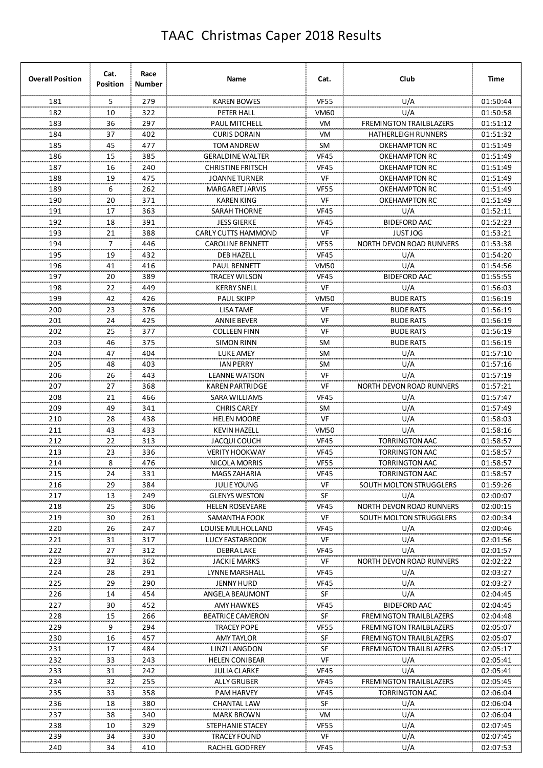| <b>Overall Position</b> | Cat.<br><b>Position</b> | Race<br>Number | Name                     | Cat.        | Club                            | Time     |
|-------------------------|-------------------------|----------------|--------------------------|-------------|---------------------------------|----------|
| 181                     | 5                       | 279            | <b>KAREN BOWES</b>       | <b>VF55</b> | U/A                             | 01:50:44 |
| 182                     | 10                      | 322            | PETER HALL               | <b>VM60</b> | U/A                             | 01:50:58 |
| 183                     | 36                      | 297            | PAUL MITCHELL            | VM          | <b>FREMINGTON TRAILBLAZERS</b>  | 01:51:12 |
| 184                     | 37                      | 402            | <b>CURIS DORAIN</b>      | VM          | <b>HATHERLEIGH RUNNERS</b>      | 01:51:32 |
| 185                     | 45                      | 477            | <b>TOM ANDREW</b>        | <b>SM</b>   | OKEHAMPTON RC                   | 01:51:49 |
| 186                     | 15                      | 385            | <b>GERALDINE WALTER</b>  | <b>VF45</b> | OKEHAMPTON RC                   | 01:51:49 |
| 187                     | 16                      | 240            | <b>CHRISTINE FRITSCH</b> | <b>VF45</b> | OKEHAMPTON RC                   | 01:51:49 |
| 188                     | 19                      | 475            | <b>JOANNE TURNER</b>     | VF          | OKEHAMPTON RC                   | 01:51:49 |
| 189                     | 6                       | 262            | <b>MARGARET JARVIS</b>   | <b>VF55</b> | <b>OKEHAMPTON RC</b>            | 01:51:49 |
| 190                     | 20                      | 371            | <b>KAREN KING</b>        | <b>VF</b>   | <b>OKEHAMPTON RC</b>            | 01:51:49 |
| 191                     | 17                      | 363            | SARAH THORNE             | <b>VF45</b> | U/A                             | 01:52:11 |
| 192                     | 18                      | 391            | <b>JESS GIERKE</b>       | <b>VF45</b> | <b>BIDEFORD AAC</b>             | 01:52:23 |
| 193                     | 21                      | 388            | CARLY CUTTS HAMMOND      | VF          | <b>JUST JOG</b>                 | 01:53:21 |
| 194                     | $\overline{7}$          | 446            | <b>CAROLINE BENNETT</b>  | <b>VF55</b> | <b>NORTH DEVON ROAD RUNNERS</b> | 01:53:38 |
| 195                     | 19                      | 432            | <b>DEB HAZELL</b>        | <b>VF45</b> | U/A                             | 01:54:20 |
| 196                     | 41                      | 416            | <b>PAUL BENNETT</b>      | <b>VM50</b> | U/A                             | 01:54:56 |
| 197                     | 20                      | 389            | TRACEY WILSON            | <b>VF45</b> | <b>BIDEFORD AAC</b>             | 01:55:55 |
| 198                     | 22                      | 449            | <b>KERRY SNELL</b>       | <b>VF</b>   | U/A                             | 01:56:03 |
| 199                     | 42                      | 426            | <b>PAUL SKIPP</b>        | <b>VM50</b> | <b>BUDE RATS</b>                | 01:56:19 |
| 200                     | 23                      | 376            | <b>LISA TAME</b>         | VF          | <b>BUDE RATS</b>                | 01:56:19 |
| 201                     | 24                      | 425            | <b>ANNIE BEVER</b>       | VF          | <b>BUDE RATS</b>                | 01:56:19 |
| 202                     | 25                      | 377            | <b>COLLEEN FINN</b>      | VF          | <b>BUDE RATS</b>                | 01:56:19 |
| 203                     | 46                      | 375            | <b>SIMON RINN</b>        | SM          | <b>BUDE RATS</b>                | 01:56:19 |
|                         |                         |                |                          |             |                                 |          |
| 204                     | 47                      | 404            | <b>LUKE AMEY</b>         | <b>SM</b>   | U/A                             | 01:57:10 |
| 205                     | 48                      | 403            | <b>IAN PERRY</b>         | <b>SM</b>   | U/A                             | 01:57:16 |
| 206                     | 26                      | 443            | <b>LEANNE WATSON</b>     | VF          | U/A                             | 01:57:19 |
| 207                     | 27                      | 368            | KAREN PARTRIDGE          | VF          | <b>NORTH DEVON ROAD RUNNERS</b> | 01:57:21 |
| 208                     | 21                      | 466            | SARA WILLIAMS            | <b>VF45</b> | U/A                             | 01:57:47 |
| 209                     | 49                      | 341            | <b>CHRIS CAREY</b>       | <b>SM</b>   | U/A                             | 01:57:49 |
| 210                     | 28                      | 438            | <b>HELEN MOORE</b>       | VF          | U/A                             | 01:58:03 |
| 211                     | 43                      | 433            | <b>KEVIN HAZELL</b>      | <b>VM50</b> | U/A                             | 01:58:16 |
| 212                     | 22                      | 313            | JACQUI COUCH             | <b>VF45</b> | <b>TORRINGTON AAC</b>           | 01:58:57 |
| 213                     | 23                      | 336            | <b>VERITY HOOKWAY</b>    | <b>VF45</b> | <b>TORRINGTON AAC</b>           | 01:58:57 |
| 214                     | 8                       | 476            | NICOLA MORRIS            | <b>VF55</b> | <b>TORRINGTON AAC</b>           | 01:58:57 |
| 215                     | 24                      | 331            | MAGS ZAHARIA             | <b>VF45</b> | TORRINGTON AAC                  | 01:58:57 |
| 216                     | 29                      | 384            | <b>JULIE YOUNG</b>       | VF          | <b>SOUTH MOLTON STRUGGLERS</b>  | 01:59:26 |
| 217                     | 13                      | 249            | <b>GLENYS WESTON</b>     | SF          | U/A                             | 02:00:07 |
| 218                     | 25                      | 306            | <b>HELEN ROSEVEARE</b>   | <b>VF45</b> | NORTH DEVON ROAD RUNNERS        | 02:00:15 |
| 219                     | 30                      | 261            | SAMANTHA FOOK            | VF          | <b>SOUTH MOLTON STRUGGLERS</b>  | 02:00:34 |
| 220                     | 26                      | 247            | LOUISE MULHOLLAND        | <b>VF45</b> | U/A                             | 02:00:46 |
| 221                     | 31                      | 317            | <b>LUCY EASTABROOK</b>   | VF          | U/A                             | 02:01:56 |
| 222                     | 27                      | 312            | <b>DEBRA LAKE</b>        | <b>VF45</b> | U/A                             | 02:01:57 |
| 223                     | 32                      | 362            | <b>JACKIE MARKS</b>      | VF          | <b>NORTH DEVON ROAD RUNNERS</b> | 02:02:22 |
| 224                     | 28                      | 291            | LYNNE MARSHALL           | <b>VF45</b> | U/A                             | 02:03:27 |
| 225                     | 29                      | 290            | JENNY HURD               | <b>VF45</b> | U/A                             | 02:03:27 |
| 226                     | 14                      | 454            | ANGELA BEAUMONT          | SF          | U/A                             | 02:04:45 |
| 227                     | 30                      | 452            | AMY HAWKES               | <b>VF45</b> | <b>BIDEFORD AAC</b>             | 02:04:45 |
| 228                     | 15                      | 266            | <b>BEATRICE CAMERON</b>  | SF          | <b>FREMINGTON TRAILBLAZERS</b>  | 02:04:48 |
| 229                     | 9                       | 294            | TRACEY POPE              | <b>VF55</b> | <b>FREMINGTON TRAILBLAZERS</b>  | 02:05:07 |
| 230                     | 16                      | 457            | <b>AMY TAYLOR</b>        | <b>SF</b>   | <b>FREMINGTON TRAILBLAZERS</b>  | 02:05:07 |
| 231                     | 17                      | 484            | LINZI LANGDON            | SF          | <b>FREMINGTON TRAILBLAZERS</b>  | 02:05:17 |
| 232                     | 33                      | 243            | <b>HELEN CONIBEAR</b>    | VF          | U/A                             | 02:05:41 |
| 233                     | 31                      | 242            | <b>JULIA CLARKE</b>      | <b>VF45</b> | U/A                             | 02:05:41 |
| 234                     | 32                      | 255            | <b>ALLY GRUBER</b>       | <b>VF45</b> | <b>FREMINGTON TRAILBLAZERS</b>  | 02:05:45 |
| 235                     | 33                      | 358            | <b>PAM HARVEY</b>        | <b>VF45</b> | TORRINGTON AAC                  | 02:06:04 |
| 236                     | 18                      | 380            | <b>CHANTAL LAW</b>       | SF          | U/A                             | 02:06:04 |
| 237                     | 38                      | 340            | <b>MARK BROWN</b>        | <b>VM</b>   | U/A                             | 02:06:04 |
| 238                     | 10                      | 329            | STEPHANIE STACEY         | <b>VF55</b> | U/A                             | 02:07:45 |
| 239                     | 34                      | 330            | <b>TRACEY FOUND</b>      | VF          | U/A                             | 02:07:45 |
| 240                     | 34                      | 410            | RACHEL GODFREY           | <b>VF45</b> | U/A                             | 02:07:53 |